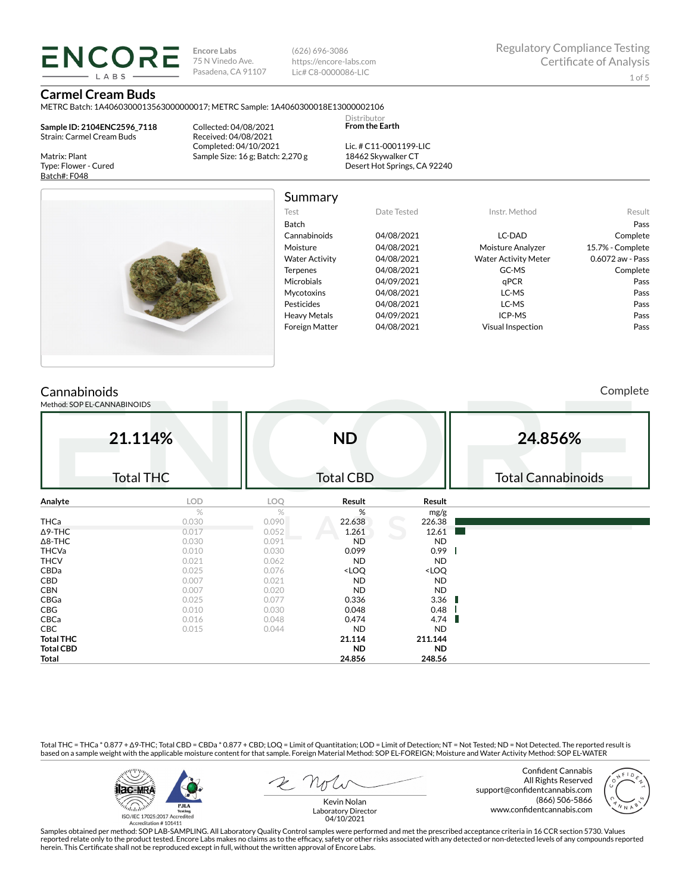**Encore Labs** 75 N Vinedo Ave. Pasadena, CA 91107 (626) 696-3086 https://encore-labs.com Lic# C8-0000086-LIC

Summary

# **Carmel Cream Buds**

ENCORE

METRC Batch: 1A4060300013563000000017; METRC Sample: 1A4060300018E13000002106 Distributor

**Sample ID: 2104ENC2596\_7118** Strain: Carmel Cream Buds

Matrix: Plant Type: Flower - Cured Batch#: F048

Collected: 04/08/2021 Received: 04/08/2021 Completed: 04/10/2021 Sample Size: 16 g; Batch: 2,270 g

Lic. # C11-0001199-LIC 18462 Skywalker CT Desert Hot Springs, CA 92240

**From the Earth**



| Test                  | Date Tested | Instr. Method               | Result           |
|-----------------------|-------------|-----------------------------|------------------|
| Batch                 |             |                             | Pass             |
| Cannabinoids          | 04/08/2021  | LC-DAD                      | Complete         |
| Moisture              | 04/08/2021  | Moisture Analyzer           | 15.7% - Complete |
| <b>Water Activity</b> | 04/08/2021  | <b>Water Activity Meter</b> | 0.6072 aw - Pass |
| <b>Terpenes</b>       | 04/08/2021  | GC-MS                       | Complete         |
| <b>Microbials</b>     | 04/09/2021  | qPCR                        | Pass             |
| <b>Mycotoxins</b>     | 04/08/2021  | LC-MS                       | Pass             |
| Pesticides            | 04/08/2021  | LC-MS                       | Pass             |
| <b>Heavy Metals</b>   | 04/09/2021  | ICP-MS                      | Pass             |
| <b>Foreign Matter</b> | 04/08/2021  | <b>Visual Inspection</b>    | Pass             |

# **Cannabinoids**

Method: SOP EL-CANNABINOIDS

Complete

|                  | 21.114%          |       | <b>ND</b>                                                |                              | 24.856%                   |
|------------------|------------------|-------|----------------------------------------------------------|------------------------------|---------------------------|
|                  | <b>Total THC</b> |       | <b>Total CBD</b>                                         |                              | <b>Total Cannabinoids</b> |
| Analyte          | LOD              | LOQ   | Result                                                   | Result                       |                           |
|                  | $\frac{1}{2}$    | $\%$  | %                                                        | mg/g                         |                           |
| THCa             | 0.030            | 0.090 | 22.638                                                   | 226.38                       |                           |
| $\Delta$ 9-THC   | 0.017            | 0.052 | 1.261                                                    | 12.61                        |                           |
| $\Delta$ 8-THC   | 0.030            | 0.091 | <b>ND</b>                                                | <b>ND</b>                    |                           |
| <b>THCVa</b>     | 0.010            | 0.030 | 0.099                                                    | 0.99                         |                           |
| <b>THCV</b>      | 0.021            | 0.062 | <b>ND</b>                                                | <b>ND</b>                    |                           |
| CBDa             | 0.025            | 0.076 | <loq< td=""><td><loq< td=""><td></td></loq<></td></loq<> | <loq< td=""><td></td></loq<> |                           |
| <b>CBD</b>       | 0.007            | 0.021 | <b>ND</b>                                                | <b>ND</b>                    |                           |
| <b>CBN</b>       | 0.007            | 0.020 | <b>ND</b>                                                | <b>ND</b>                    |                           |
| CBGa             | 0.025            | 0.077 | 0.336                                                    | 3.36                         |                           |
| CBG              | 0.010            | 0.030 | 0.048                                                    | 0.48                         |                           |
| CBCa             | 0.016            | 0.048 | 0.474                                                    | 4.74                         |                           |
| CBC              | 0.015            | 0.044 | <b>ND</b>                                                | <b>ND</b>                    |                           |
| <b>Total THC</b> |                  |       | 21.114                                                   | 211.144                      |                           |
| <b>Total CBD</b> |                  |       | <b>ND</b>                                                | <b>ND</b>                    |                           |
| <b>Total</b>     |                  |       | 24.856                                                   | 248.56                       |                           |

Total THC = THCa \* 0.877 + ∆9-THC; Total CBD = CBDa \* 0.877 + CBD; LOQ = Limit of Quantitation; LOD = Limit of Detection; NT = Not Tested; ND = Not Detected. The reported result is based on a sample weight with the applicable moisture content for that sample. Foreign Material Method: SOP EL-FOREIGN; Moisture and Water Activity Method: SOP EL-WATER



Confident Cannabis All Rights Reserved support@confidentcannabis.com (866) 506-5866 www.confidentcannabis.com



Samples obtained per method: SOP LAB-SAMPLING. All Laboratory Quality Control samples were performed and met the prescribed acceptance criteria in 16 CCR section 5730. Values reported relate only to the product tested. Encore Labs makes no claims as to the efficacy, safety or other risks associated with any detected or non-detected levels of any compounds reported<br>herein. This Certificate shall

Laboratory Director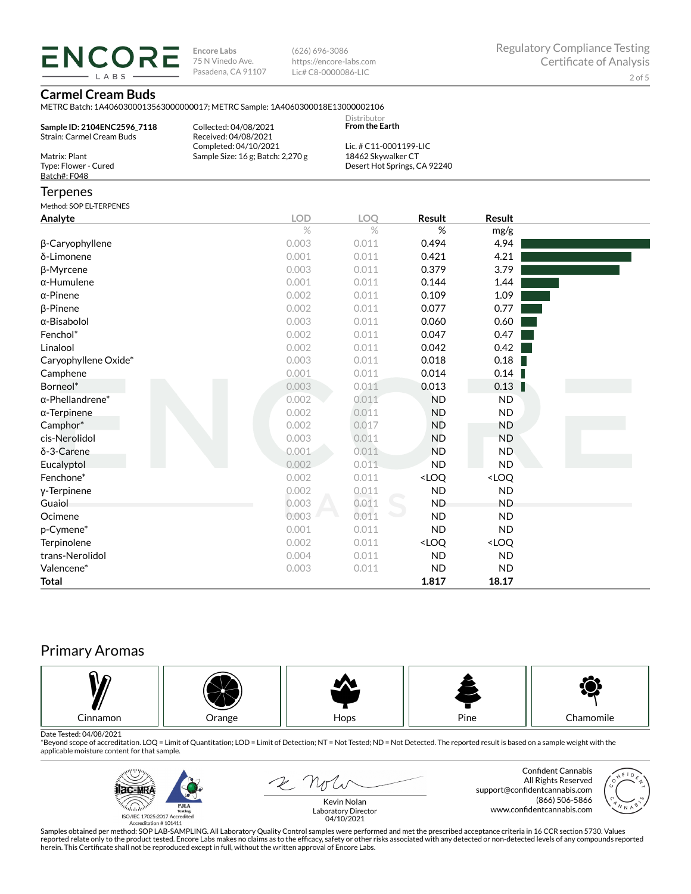**ENCORE** LABS

**Encore Labs** 75 N Vinedo Ave. Pasadena, CA 91107 (626) 696-3086 https://encore-labs.com Lic# C8-0000086-LIC

## **Carmel Cream Buds**

METRC Batch: 1A4060300013563000000017; METRC Sample: 1A4060300018E13000002106

| Sample ID: 2104ENC2596 7118<br>Strain: Carmel Cream Buds | Collected: 04/08/2021<br>Received: 04/08/2021 | Distributor<br><b>From the Earth</b> |  |
|----------------------------------------------------------|-----------------------------------------------|--------------------------------------|--|
|                                                          | Completed: 04/10/2021                         | Lic. # $C11-0001199-LLC$             |  |
| Matrix: Plant                                            | Sample Size: 16 g; Batch: 2,270 g             | 18462 Skywalker CT                   |  |
| Type: Flower - Cured                                     |                                               | Desert Hot Springs, CA 92240         |  |
| Batch#: F048                                             |                                               |                                      |  |
|                                                          |                                               |                                      |  |

### **Terpenes**

Method: SOP EL-TERPENES

| Analyte                 | <b>LOD</b> | LOQ   | Result                                                   | Result                       |  |
|-------------------------|------------|-------|----------------------------------------------------------|------------------------------|--|
|                         | $\%$       | $\%$  | %                                                        | mg/g                         |  |
| β-Caryophyllene         | 0.003      | 0.011 | 0.494                                                    | 4.94                         |  |
| δ-Limonene              | 0.001      | 0.011 | 0.421                                                    | 4.21                         |  |
| β-Myrcene               | 0.003      | 0.011 | 0.379                                                    | 3.79                         |  |
| $\alpha$ -Humulene      | 0.001      | 0.011 | 0.144                                                    | 1.44                         |  |
| $\alpha$ -Pinene        | 0.002      | 0.011 | 0.109                                                    | 1.09                         |  |
| β-Pinene                | 0.002      | 0.011 | 0.077                                                    | 0.77                         |  |
| $\alpha$ -Bisabolol     | 0.003      | 0.011 | 0.060                                                    | 0.60                         |  |
| Fenchol*                | 0.002      | 0.011 | 0.047                                                    | 0.47                         |  |
| Linalool                | 0.002      | 0.011 | 0.042                                                    | 0.42                         |  |
| Caryophyllene Oxide*    | 0.003      | 0.011 | 0.018                                                    | 0.18                         |  |
| Camphene                | 0.001      | 0.011 | 0.014                                                    | 0.14                         |  |
| Borneol*                | 0.003      | 0.011 | 0.013                                                    | 0.13                         |  |
| $\alpha$ -Phellandrene* | 0.002      | 0.011 | <b>ND</b>                                                | <b>ND</b>                    |  |
| $\alpha$ -Terpinene     | 0.002      | 0.011 | <b>ND</b>                                                | ND                           |  |
| Camphor*                | 0.002      | 0.017 | <b>ND</b>                                                | <b>ND</b>                    |  |
| cis-Nerolidol           | 0.003      | 0.011 | <b>ND</b>                                                | <b>ND</b>                    |  |
| δ-3-Carene              | 0.001      | 0.011 | <b>ND</b>                                                | <b>ND</b>                    |  |
| Eucalyptol              | 0.002      | 0.011 | <b>ND</b>                                                | <b>ND</b>                    |  |
| Fenchone*               | 0.002      | 0.011 | <loq< td=""><td><loq< td=""><td></td></loq<></td></loq<> | <loq< td=""><td></td></loq<> |  |
| y-Terpinene             | 0.002      | 0.011 | <b>ND</b>                                                | <b>ND</b>                    |  |
| Guaiol                  | 0.003      | 0.011 | <b>ND</b>                                                | <b>ND</b>                    |  |
| Ocimene                 | 0.003      | 0.011 | <b>ND</b>                                                | <b>ND</b>                    |  |
| p-Cymene*               | 0.001      | 0.011 | <b>ND</b>                                                | <b>ND</b>                    |  |
| Terpinolene             | 0.002      | 0.011 | <loq< td=""><td><loq< td=""><td></td></loq<></td></loq<> | <loq< td=""><td></td></loq<> |  |
| trans-Nerolidol         | 0.004      | 0.011 | <b>ND</b>                                                | <b>ND</b>                    |  |
| Valencene*              | 0.003      | 0.011 | <b>ND</b>                                                | <b>ND</b>                    |  |
| <b>Total</b>            |            |       | 1.817                                                    | 18.17                        |  |

# Primary Aromas



Date Tested: 04/08/2021<br>\*Beyond scope of accreditation. LOQ = Limit of Quantitation; LOD = Limit of Detection; NT = Not Tested; ND = Not Detected. The reported result is based on a sample weight with the applicable moisture content for that sample.



2 not

Confident Cannabis All Rights Reserved support@confidentcannabis.com (866) 506-5866 www.confidentcannabis.com



Kevin Nolan Laboratory Director 04/10/2021

Samples obtained per method: SOP LAB-SAMPLING. All Laboratory Quality Control samples were performed and met the prescribed acceptance criteria in 16 CCR section 5730. Values reported relate only to the product tested. Encore Labs makes no claims as to the efficacy, safety or other risks associated with any detected or non-detected levels of any compounds reported<br>herein. This Certificate shall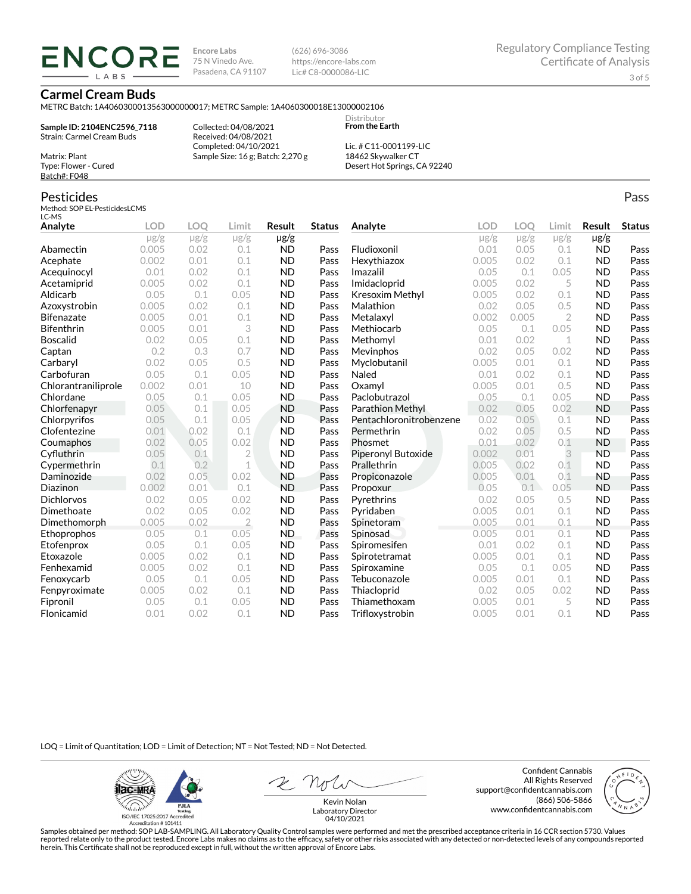**ENCORE IARS** 

**Encore Labs** 75 N Vinedo Ave. Pasadena, CA 91107 (626) 696-3086 https://encore-labs.com Lic# C8-0000086-LIC

> **Distributor From the Earth**

### **Carmel Cream Buds**

METRC Batch: 1A4060300013563000000017; METRC Sample: 1A4060300018E13000002106

**Sample ID: 2104ENC2596\_7118** Strain: Carmel Cream Buds

Matrix: Plant Type: Flower - Cured Batch#: F048

Pesticides

Collected: 04/08/2021 Received: 04/08/2021 Completed: 04/10/2021 Sample Size: 16 g; Batch: 2,270 g

Lic. # C11-0001199-LIC 18462 Skywalker CT Desert Hot Springs, CA 92240

#### Method: SOP EL-PesticidesLCMS LC-MS **Analyte LOD LOQ Limit Result Status**  $\mu$ g/g  $\mu$ g/g  $\mu$ g/g  $\mu$ g/g Abamectin 0.005 0.02 0.1 ND Pass Acephate 0.002 0.01 0.1 ND Pass Acequinocyl 0.01 0.02 0.1 ND Pass Acetamiprid 0.005 0.02 0.1 ND Pass Aldicarb 0.05 0.1 0.05 ND Pass Azoxystrobin 0.005 0.02 0.1 ND Pass Bifenazate 0.005 0.01 0.1 ND Pass Bifenthrin 0.005 0.01 3 ND Pass Boscalid 0.02 0.05 0.1 ND Pass **Captan 12 0.2 0.3 0.7 ND Pass Carbaryl 0.02 0.05 0.5 ND Pass** Carbofuran 0.05 0.1 0.05 ND Pass Chlorantraniliprole 0.002 0.01 10 ND Pass Chlordane 0.05 0.1 0.05 ND Pass Chlorfenapyr 0.05 0.1 0.05 ND Pass Chlorpyrifos 0.05 0.1 0.05 ND Pass Clofentezine 0.01 0.02 0.1 ND Pass Coumaphos 0.02 0.05 0.02 ND Pass Cyfluthrin 0.05 0.1 2 ND Pass Cypermethrin 0.1 0.2 1 ND Pass Daminozide 0.02 0.05 0.02 ND Pass **Diazinon** 0.002 0.01 0.1 ND Pass Dichlorvos 0.02 0.05 0.02 ND Pass Dimethoate 0.02 0.05 0.02 ND Pass Dimethomorph 0.005 0.02 2 ND Pass Ethoprophos 0.05 0.1 0.05 ND Pass Etofenprox 0.05 0.1 0.05 ND Pass Etoxazole 0.005 0.02 0.1 ND Pass Fenhexamid 0.005 0.02 0.1 ND Pass Fenoxycarb 0.05 0.1 0.05 ND Pass Fenpyroximate 0.005 0.02 0.1 ND Pass Fipronil 0.05 0.1 0.05 ND Pass Flonicamid 0.01 0.02 0.1 ND Pass **Analyte LOD LOQ Limit Result Status**  $\mu$ g/g  $\mu$ g/g  $\mu$ g/g  $\mu$ g/g Fludioxonil 0.01 0.05 0.1 ND Pass Hexythiazox 0.005 0.02 0.1 ND Pass **Imazalil 11 0.05 0.1 0.05 ND Pass** Imidacloprid 0.005 0.02 5 ND Pass Kresoxim Methyl  $0.005$  0.02 0.1 ND Pass **Malathion** 0.02 0.05 0.5 **ND Pass** Metalaxyl 0.002 0.005 2 ND Pass Methiocarb 0.05 0.1 0.05 ND Pass **Methomyl** 0.01 0.02 1 **ND Pass** Mevinphos 0.02 0.05 0.02 ND Pass Myclobutanil 0.005 0.01 0.1 ND Pass **Naled 1200 0.01 0.02 0.1 ND Pass Oxamyl** 0.005 0.01 0.5 **ND Pass** Paclobutrazol 0.05 0.1 0.05 ND Pass Parathion Methyl 0.02 0.05 0.02 ND Pass Pentachloronitrobenzene 0.02 0.05 0.1 ND Pass Permethrin 0.02 0.05 0.5 ND Pass Phosmet 0.01 0.02 0.1 ND Pass Piperonyl Butoxide 0.002 0.01 3 ND Pass Prallethrin 0.005 0.02 0.1 ND Pass Propiconazole 0.005 0.01 0.1 ND Pass **Propoxur 1988 0.05 0.1 0.05 ND Pass** Pyrethrins 0.02 0.05 0.5 ND Pass **Pyridaben 1988 0.005 0.01 0.1 ND Pass Spinetoram 0.005 0.01 0.1 ND Pass** Spinosad 0.005 0.01 0.1 ND Pass Spiromesifen 0.01 0.02 0.1 ND Pass Spirotetramat 0.005 0.01 0.1 ND Pass Spiroxamine 0.05 0.1 0.05 ND Pass Tebuconazole 0.005 0.01 0.1 ND Pass Thiacloprid 0.02 0.05 0.02 ND Pass Thiamethoxam 0.005 0.01 5 ND Pass Trifloxystrobin 0.005 0.01 0.1 ND Pass

LOQ = Limit of Quantitation; LOD = Limit of Detection; NT = Not Tested; ND = Not Detected.

**ilac-MR PJLA**  $d_{\rm obs}$ ISO/IEC 17025:2017 Accredited

Accreditation #101411

Z Note

Confident Cannabis All Rights Reserved support@confidentcannabis.com (866) 506-5866 www.confidentcannabis.com



Kevin Nolan Laboratory Director 04/10/2021

Samples obtained per method: SOP LAB-SAMPLING. All Laboratory Quality Control samples were performed and met the prescribed acceptance criteria in 16 CCR section 5730. Values reported relate only to the product tested. Encore Labs makes no claims as to the efficacy, safety or other risks associated with any detected or non-detected levels of any compounds reported herein. This Certificate shall not be reproduced except in full, without the written approval of Encore Labs.

Pass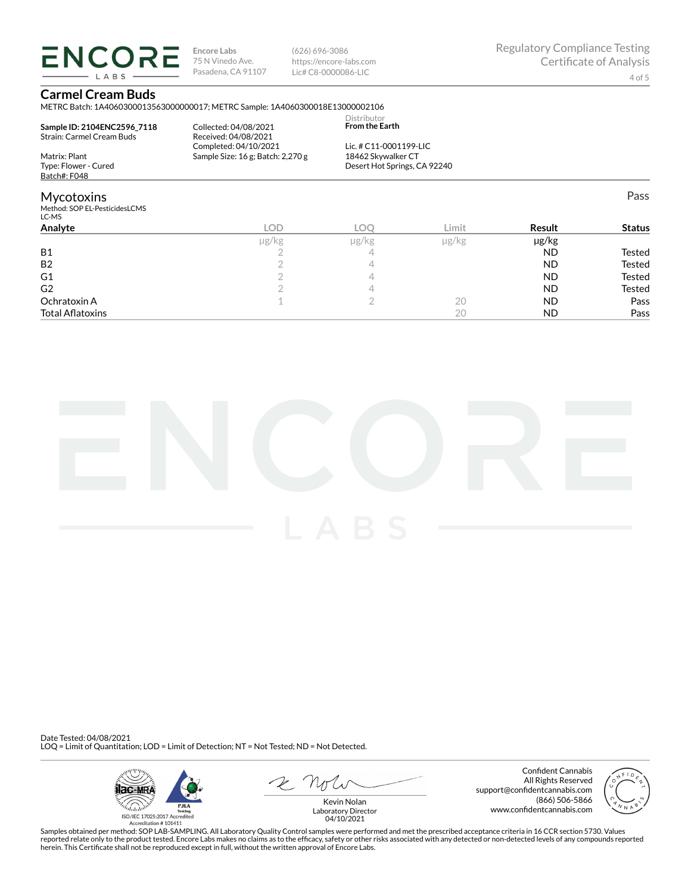**ENCORE** LABS

**Encore Labs** 75 N Vinedo Ave. Pasadena, CA 91107 (626) 696-3086 https://encore-labs.com Lic# C8-0000086-LIC

Pass

# **Carmel Cream Buds**

METRC Batch: 1A4060300013563000000017; METRC Sample: 1A4060300018E13000002106 Dictribute

| Sample ID: 2104ENC2596 7118<br>Strain: Carmel Cream Buds | Collected: 04/08/2021<br>Received: 04/08/2021 | <b>DISLIBULU</b><br><b>From the Earth</b> |  |
|----------------------------------------------------------|-----------------------------------------------|-------------------------------------------|--|
|                                                          | Completed: 04/10/2021                         | Lic. # $C11-0001199-LLC$                  |  |
| Matrix: Plant                                            | Sample Size: $16$ g; Batch: $2,270$ g         | 18462 Skywalker CT                        |  |
| Type: Flower - Cured                                     |                                               | Desert Hot Springs, CA 92240              |  |
| Batch#: F048                                             |                                               |                                           |  |
|                                                          |                                               |                                           |  |

# Mycotoxins

Method: SOP EL-PesticidesLCMS

| LC-MS                   |       |            |       |            |               |
|-------------------------|-------|------------|-------|------------|---------------|
| Analyte                 | LOD   | <b>LOC</b> | Limit | Result     | <b>Status</b> |
|                         | µg/kg | µg/kg      | µg/kg | $\mu$ g/kg |               |
| <b>B1</b>               |       |            |       | <b>ND</b>  | Tested        |
| B <sub>2</sub>          |       |            |       | <b>ND</b>  | Tested        |
| G <sub>1</sub>          |       |            |       | <b>ND</b>  | Tested        |
| G <sub>2</sub>          |       |            |       | <b>ND</b>  | Tested        |
| Ochratoxin A            |       |            | 20    | <b>ND</b>  | Pass          |
| <b>Total Aflatoxins</b> |       |            | 20    | <b>ND</b>  | Pass          |



Date Tested: 04/08/2021 LOQ = Limit of Quantitation; LOD = Limit of Detection; NT = Not Tested; ND = Not Detected.



 $R$  Mr

Confident Cannabis All Rights Reserved support@confidentcannabis.com (866) 506-5866 www.confidentcannabis.com



Kevin Nolan Laboratory Director 04/10/2021

Samples obtained per method: SOP LAB-SAMPLING. All Laboratory Quality Control samples were performed and met the prescribed acceptance criteria in 16 CCR section 5730. Values reported relate only to the product tested. Encore Labs makes no claims as to the efficacy, safety or other risks associated with any detected or non-detected levels of any compounds reported<br>herein. This Certificate shall